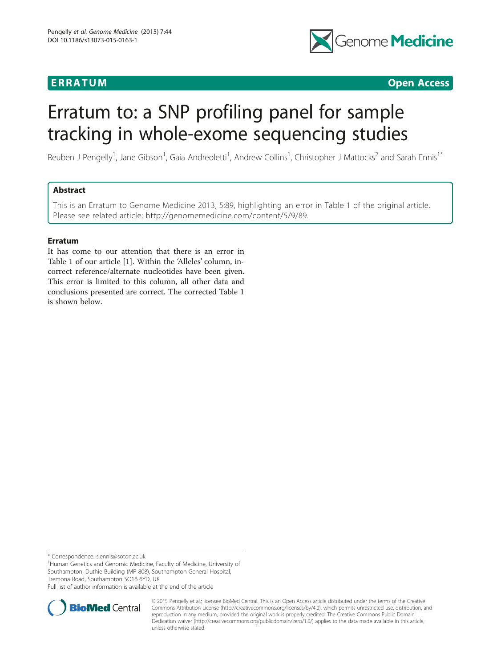

**ERRATUM ERRATUM CONSUMING ACCESS** 

# Erratum to: a SNP profiling panel for sample tracking in whole-exome sequencing studies

Reuben J Pengelly<sup>1</sup>, Jane Gibson<sup>1</sup>, Gaia Andreoletti<sup>1</sup>, Andrew Collins<sup>1</sup>, Christopher J Mattocks<sup>2</sup> and Sarah Ennis<sup>1\*</sup>

# Abstract

This is an Erratum to Genome Medicine 2013, 5:89, highlighting an error in Table [1](#page-1-0) of the original article. Please see related article:<http://genomemedicine.com/content/5/9/89>.

# Erratum

It has come to our attention that there is an error in Table 1 of our article [\[1](#page-1-0)]. Within the 'Alleles' column, incorrect reference/alternate nucleotides have been given. This error is limited to this column, all other data and conclusions presented are correct. The corrected Table [1](#page-1-0) is shown below.

\* Correspondence: [s.ennis@soton.ac.uk](mailto:s.ennis@soton.ac.uk) <sup>1</sup>

<sup>1</sup>Human Genetics and Genomic Medicine, Faculty of Medicine, University of Southampton, Duthie Building (MP 808), Southampton General Hospital, Tremona Road, Southampton SO16 6YD, UK

Full list of author information is available at the end of the article



© 2015 Pengelly et al.; licensee BioMed Central. This is an Open Access article distributed under the terms of the Creative Commons Attribution License [\(http://creativecommons.org/licenses/by/4.0\)](http://creativecommons.org/licenses/by/4.0), which permits unrestricted use, distribution, and reproduction in any medium, provided the original work is properly credited. The Creative Commons Public Domain Dedication waiver [\(http://creativecommons.org/publicdomain/zero/1.0/](http://creativecommons.org/publicdomain/zero/1.0/)) applies to the data made available in this article, unless otherwise stated.